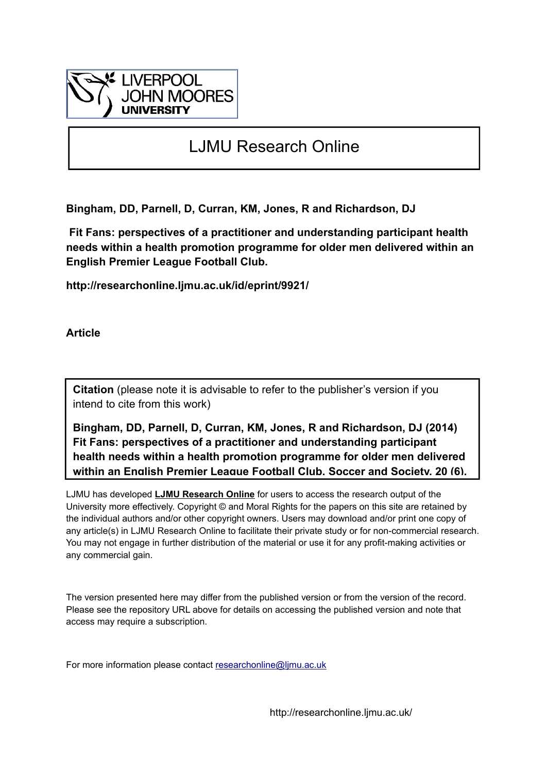

# LJMU Research Online

**Bingham, DD, Parnell, D, Curran, KM, Jones, R and Richardson, DJ**

 **Fit Fans: perspectives of a practitioner and understanding participant health needs within a health promotion programme for older men delivered within an English Premier League Football Club.**

**http://researchonline.ljmu.ac.uk/id/eprint/9921/**

**Article**

**Citation** (please note it is advisable to refer to the publisher's version if you intend to cite from this work)

**Bingham, DD, Parnell, D, Curran, KM, Jones, R and Richardson, DJ (2014) Fit Fans: perspectives of a practitioner and understanding participant health needs within a health promotion programme for older men delivered within an English Premier League Football Club. Soccer and Society, 20 (6).** 

LJMU has developed **[LJMU Research Online](http://researchonline.ljmu.ac.uk/)** for users to access the research output of the University more effectively. Copyright © and Moral Rights for the papers on this site are retained by the individual authors and/or other copyright owners. Users may download and/or print one copy of any article(s) in LJMU Research Online to facilitate their private study or for non-commercial research. You may not engage in further distribution of the material or use it for any profit-making activities or any commercial gain.

The version presented here may differ from the published version or from the version of the record. Please see the repository URL above for details on accessing the published version and note that access may require a subscription.

For more information please contact researchonline@limu.ac.uk

http://researchonline.ljmu.ac.uk/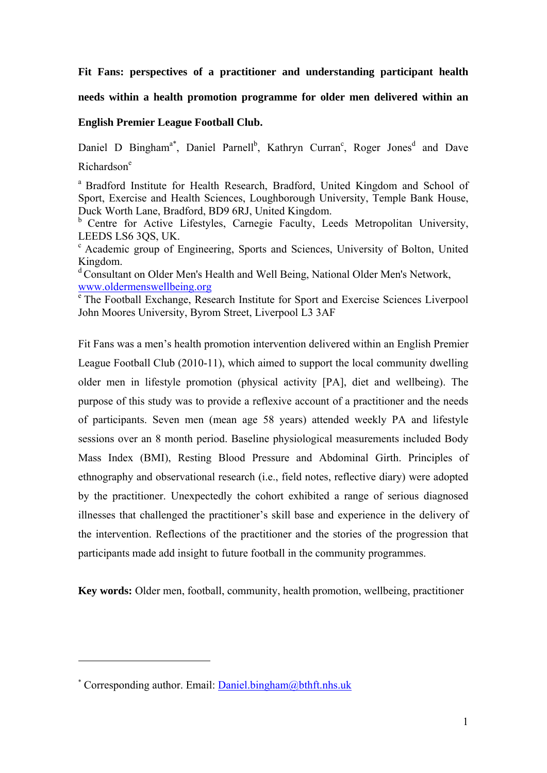**Fit Fans: perspectives of a practitioner and understanding participant health** 

**needs within a health promotion programme for older men delivered within an** 

# **English Premier League Football Club.**

Daniel D Bingham<sup>a\*</sup>, Daniel Parnell<sup>b</sup>, Kathryn Curran<sup>c</sup>, Roger Jones<sup>d</sup> and Dave Richardson<sup>e</sup>

<sup>a</sup> Bradford Institute for Health Research, Bradford, United Kingdom and School of Sport, Exercise and Health Sciences, Loughborough University, Temple Bank House, Duck Worth Lane, Bradford, BD9 6RJ, United Kingdom.

<sup>b</sup> Centre for Active Lifestyles, Carnegie Faculty, Leeds Metropolitan University, LEEDS LS6 3QS, UK.

c Academic group of Engineering, Sports and Sciences, University of Bolton, United Kingdom.

d Consultant on Older Men's Health and Well Being, National Older Men's Network, www.oldermenswellbeing.org<br>
<sup>e</sup> The Football Exchange, Research Institute for Sport and Exercise Sciences Liverpool

John Moores University, Byrom Street, Liverpool L3 3AF

Fit Fans was a men's health promotion intervention delivered within an English Premier League Football Club (2010-11), which aimed to support the local community dwelling older men in lifestyle promotion (physical activity [PA], diet and wellbeing). The purpose of this study was to provide a reflexive account of a practitioner and the needs of participants. Seven men (mean age 58 years) attended weekly PA and lifestyle sessions over an 8 month period. Baseline physiological measurements included Body Mass Index (BMI), Resting Blood Pressure and Abdominal Girth. Principles of ethnography and observational research (i.e., field notes, reflective diary) were adopted by the practitioner. Unexpectedly the cohort exhibited a range of serious diagnosed illnesses that challenged the practitioner's skill base and experience in the delivery of the intervention. Reflections of the practitioner and the stories of the progression that participants made add insight to future football in the community programmes.

**Key words:** Older men, football, community, health promotion, wellbeing, practitioner

<sup>\*</sup> Corresponding author. Email: Daniel.bingham@bthft.nhs.uk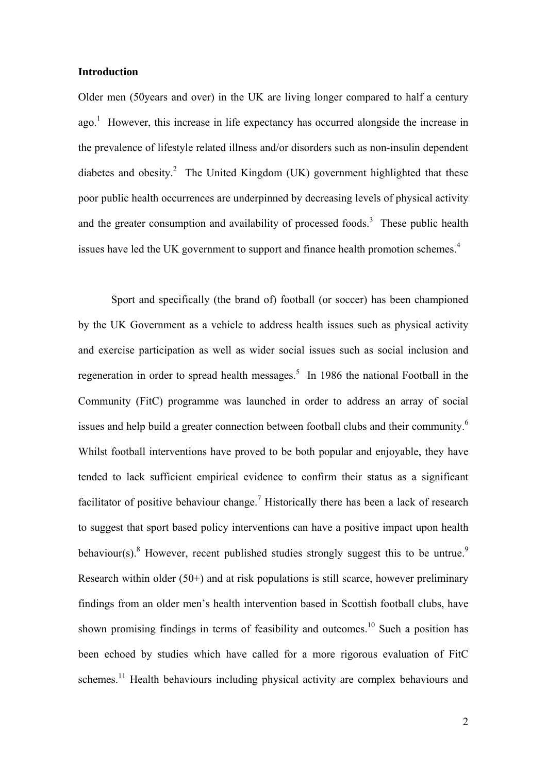# **Introduction**

Older men (50years and over) in the UK are living longer compared to half a century  $ago.$ <sup>1</sup> However, this increase in life expectancy has occurred alongside the increase in the prevalence of lifestyle related illness and/or disorders such as non-insulin dependent diabetes and obesity.<sup>2</sup> The United Kingdom (UK) government highlighted that these poor public health occurrences are underpinned by decreasing levels of physical activity and the greater consumption and availability of processed foods.<sup>3</sup> These public health issues have led the UK government to support and finance health promotion schemes.<sup>4</sup>

Sport and specifically (the brand of) football (or soccer) has been championed by the UK Government as a vehicle to address health issues such as physical activity and exercise participation as well as wider social issues such as social inclusion and regeneration in order to spread health messages.<sup>5</sup> In 1986 the national Football in the Community (FitC) programme was launched in order to address an array of social issues and help build a greater connection between football clubs and their community.<sup>6</sup> Whilst football interventions have proved to be both popular and enjoyable, they have tended to lack sufficient empirical evidence to confirm their status as a significant facilitator of positive behaviour change.<sup>7</sup> Historically there has been a lack of research to suggest that sport based policy interventions can have a positive impact upon health behaviour(s). <sup>8</sup> However, recent published studies strongly suggest this to be untrue.<sup>9</sup> Research within older (50+) and at risk populations is still scarce, however preliminary findings from an older men's health intervention based in Scottish football clubs, have shown promising findings in terms of feasibility and outcomes.<sup>10</sup> Such a position has been echoed by studies which have called for a more rigorous evaluation of FitC schemes.<sup>11</sup> Health behaviours including physical activity are complex behaviours and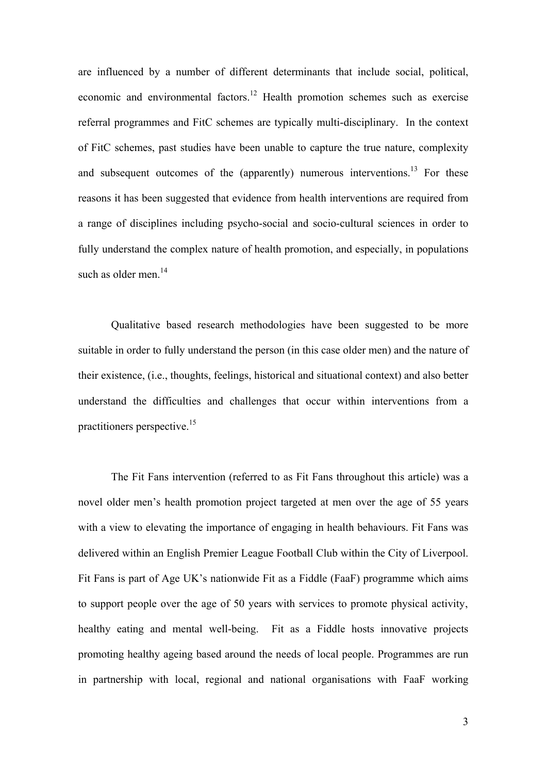are influenced by a number of different determinants that include social, political, economic and environmental factors.<sup>12</sup> Health promotion schemes such as exercise referral programmes and FitC schemes are typically multi-disciplinary. In the context of FitC schemes, past studies have been unable to capture the true nature, complexity and subsequent outcomes of the (apparently) numerous interventions.<sup>13</sup> For these reasons it has been suggested that evidence from health interventions are required from a range of disciplines including psycho-social and socio-cultural sciences in order to fully understand the complex nature of health promotion, and especially, in populations such as older men.<sup>14</sup>

Qualitative based research methodologies have been suggested to be more suitable in order to fully understand the person (in this case older men) and the nature of their existence, (i.e., thoughts, feelings, historical and situational context) and also better understand the difficulties and challenges that occur within interventions from a practitioners perspective.15

The Fit Fans intervention (referred to as Fit Fans throughout this article) was a novel older men's health promotion project targeted at men over the age of 55 years with a view to elevating the importance of engaging in health behaviours. Fit Fans was delivered within an English Premier League Football Club within the City of Liverpool. Fit Fans is part of Age UK's nationwide Fit as a Fiddle (FaaF) programme which aims to support people over the age of 50 years with services to promote physical activity, healthy eating and mental well-being. Fit as a Fiddle hosts innovative projects promoting healthy ageing based around the needs of local people. Programmes are run in partnership with local, regional and national organisations with FaaF working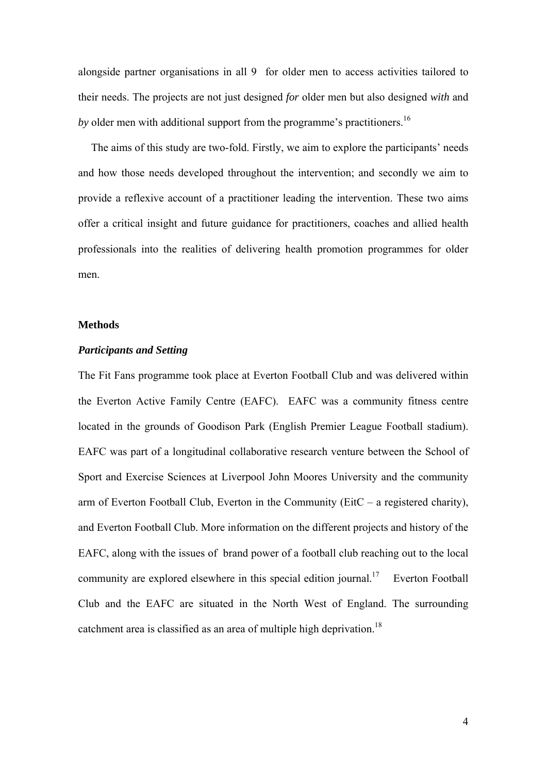alongside partner organisations in all 9 for older men to access activities tailored to their needs. The projects are not just designed *for* older men but also designed *with* and *by* older men with additional support from the programme's practitioners.<sup>16</sup>

 The aims of this study are two-fold. Firstly, we aim to explore the participants' needs and how those needs developed throughout the intervention; and secondly we aim to provide a reflexive account of a practitioner leading the intervention. These two aims offer a critical insight and future guidance for practitioners, coaches and allied health professionals into the realities of delivering health promotion programmes for older men.

## **Methods**

## *Participants and Setting*

The Fit Fans programme took place at Everton Football Club and was delivered within the Everton Active Family Centre (EAFC). EAFC was a community fitness centre located in the grounds of Goodison Park (English Premier League Football stadium). EAFC was part of a longitudinal collaborative research venture between the School of Sport and Exercise Sciences at Liverpool John Moores University and the community arm of Everton Football Club, Everton in the Community (EitC – a registered charity), and Everton Football Club. More information on the different projects and history of the EAFC, along with the issues of brand power of a football club reaching out to the local community are explored elsewhere in this special edition journal.<sup>17</sup> Everton Football Club and the EAFC are situated in the North West of England. The surrounding catchment area is classified as an area of multiple high deprivation.<sup>18</sup>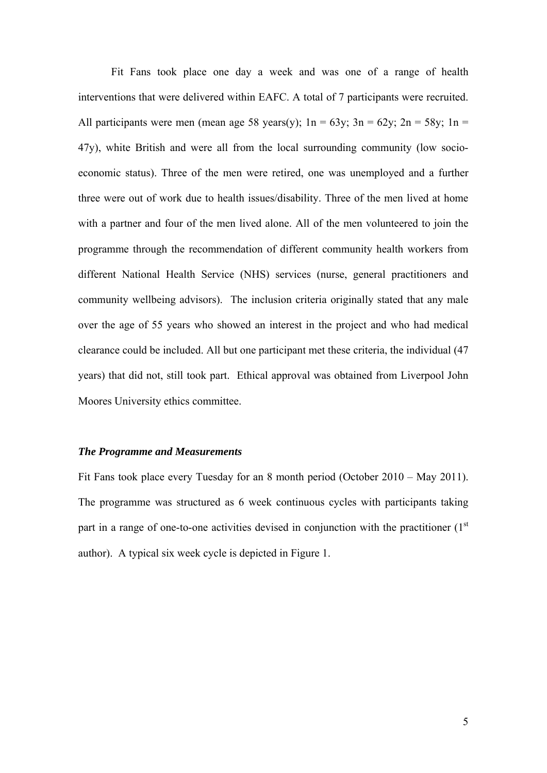Fit Fans took place one day a week and was one of a range of health interventions that were delivered within EAFC. A total of 7 participants were recruited. All participants were men (mean age 58 years(y);  $1n = 63y$ ;  $3n = 62y$ ;  $2n = 58y$ ;  $1n =$ 47y), white British and were all from the local surrounding community (low socioeconomic status). Three of the men were retired, one was unemployed and a further three were out of work due to health issues/disability. Three of the men lived at home with a partner and four of the men lived alone. All of the men volunteered to join the programme through the recommendation of different community health workers from different National Health Service (NHS) services (nurse, general practitioners and community wellbeing advisors). The inclusion criteria originally stated that any male over the age of 55 years who showed an interest in the project and who had medical clearance could be included. All but one participant met these criteria, the individual (47 years) that did not, still took part. Ethical approval was obtained from Liverpool John Moores University ethics committee.

# *The Programme and Measurements*

Fit Fans took place every Tuesday for an 8 month period (October 2010 – May 2011). The programme was structured as 6 week continuous cycles with participants taking part in a range of one-to-one activities devised in conjunction with the practitioner  $(1<sup>st</sup>$ author). A typical six week cycle is depicted in Figure 1.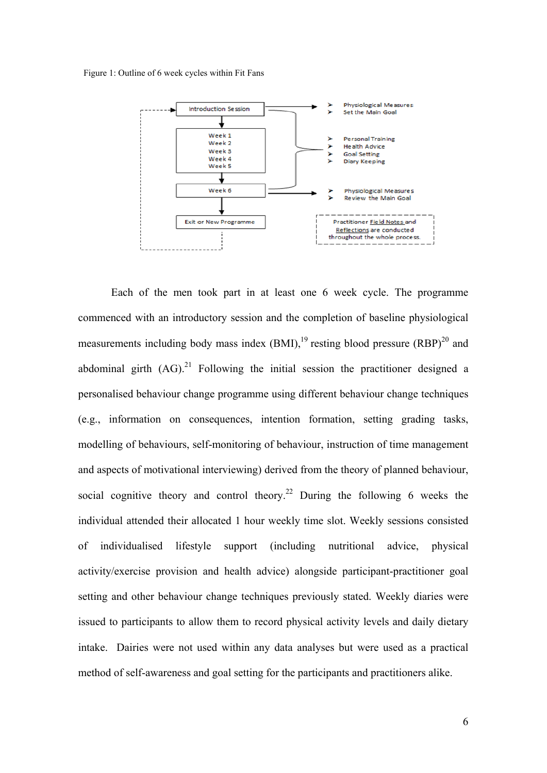Figure 1: Outline of 6 week cycles within Fit Fans



Each of the men took part in at least one 6 week cycle. The programme commenced with an introductory session and the completion of baseline physiological measurements including body mass index  $(BMI)$ ,<sup>19</sup> resting blood pressure  $(BBP)$ <sup>20</sup> and abdominal girth  $(AG)$ <sup>21</sup> Following the initial session the practitioner designed a personalised behaviour change programme using different behaviour change techniques (e.g., information on consequences, intention formation, setting grading tasks, modelling of behaviours, self-monitoring of behaviour, instruction of time management and aspects of motivational interviewing) derived from the theory of planned behaviour, social cognitive theory and control theory.<sup>22</sup> During the following 6 weeks the individual attended their allocated 1 hour weekly time slot. Weekly sessions consisted of individualised lifestyle support (including nutritional advice, physical activity/exercise provision and health advice) alongside participant-practitioner goal setting and other behaviour change techniques previously stated. Weekly diaries were issued to participants to allow them to record physical activity levels and daily dietary intake. Dairies were not used within any data analyses but were used as a practical method of self-awareness and goal setting for the participants and practitioners alike.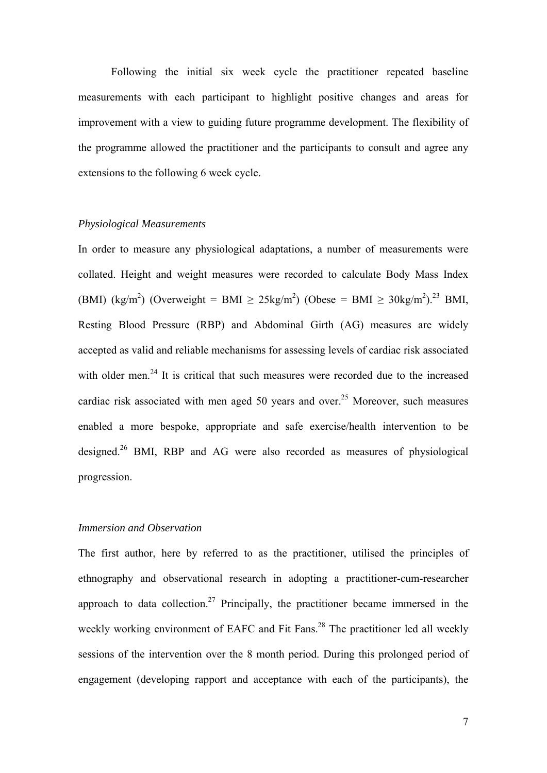Following the initial six week cycle the practitioner repeated baseline measurements with each participant to highlight positive changes and areas for improvement with a view to guiding future programme development. The flexibility of the programme allowed the practitioner and the participants to consult and agree any extensions to the following 6 week cycle.

## *Physiological Measurements*

In order to measure any physiological adaptations, a number of measurements were collated. Height and weight measures were recorded to calculate Body Mass Index (BMI) (kg/m<sup>2</sup>) (Overweight = BMI  $\geq 25$ kg/m<sup>2</sup>) (Obese = BMI  $\geq 30$ kg/m<sup>2</sup>).<sup>23</sup> BMI, Resting Blood Pressure (RBP) and Abdominal Girth (AG) measures are widely accepted as valid and reliable mechanisms for assessing levels of cardiac risk associated with older men.<sup>24</sup> It is critical that such measures were recorded due to the increased cardiac risk associated with men aged 50 years and over.<sup>25</sup> Moreover, such measures enabled a more bespoke, appropriate and safe exercise/health intervention to be designed.<sup>26</sup> BMI, RBP and AG were also recorded as measures of physiological progression.

## *Immersion and Observation*

The first author, here by referred to as the practitioner, utilised the principles of ethnography and observational research in adopting a practitioner-cum-researcher approach to data collection.<sup>27</sup> Principally, the practitioner became immersed in the weekly working environment of EAFC and Fit Fans.<sup>28</sup> The practitioner led all weekly sessions of the intervention over the 8 month period. During this prolonged period of engagement (developing rapport and acceptance with each of the participants), the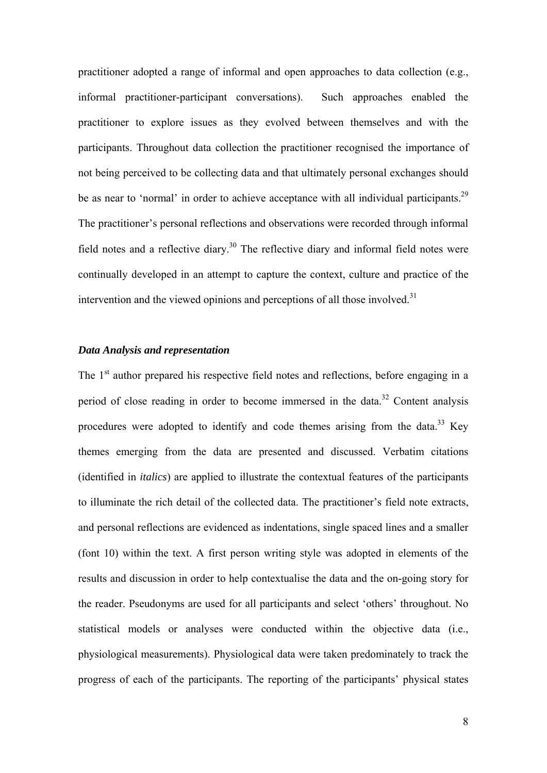practitioner adopted a range of informal and open approaches to data collection (e.g., informal practitioner-participant conversations). Such approaches enabled the practitioner to explore issues as they evolved between themselves and with the participants. Throughout data collection the practitioner recognised the importance of not being perceived to be collecting data and that ultimately personal exchanges should be as near to 'normal' in order to achieve acceptance with all individual participants.<sup>29</sup> The practitioner's personal reflections and observations were recorded through informal field notes and a reflective diary.<sup>30</sup> The reflective diary and informal field notes were continually developed in an attempt to capture the context, culture and practice of the intervention and the viewed opinions and perceptions of all those involved. $31$ 

## *Data Analysis and representation*

The  $1<sup>st</sup>$  author prepared his respective field notes and reflections, before engaging in a period of close reading in order to become immersed in the data.<sup>32</sup> Content analysis procedures were adopted to identify and code themes arising from the data.<sup>33</sup> Key themes emerging from the data are presented and discussed. Verbatim citations (identified in *italics*) are applied to illustrate the contextual features of the participants to illuminate the rich detail of the collected data. The practitioner's field note extracts, and personal reflections are evidenced as indentations, single spaced lines and a smaller (font 10) within the text. A first person writing style was adopted in elements of the results and discussion in order to help contextualise the data and the on-going story for the reader. Pseudonyms are used for all participants and select 'others' throughout. No statistical models or analyses were conducted within the objective data (i.e., physiological measurements). Physiological data were taken predominately to track the progress of each of the participants. The reporting of the participants' physical states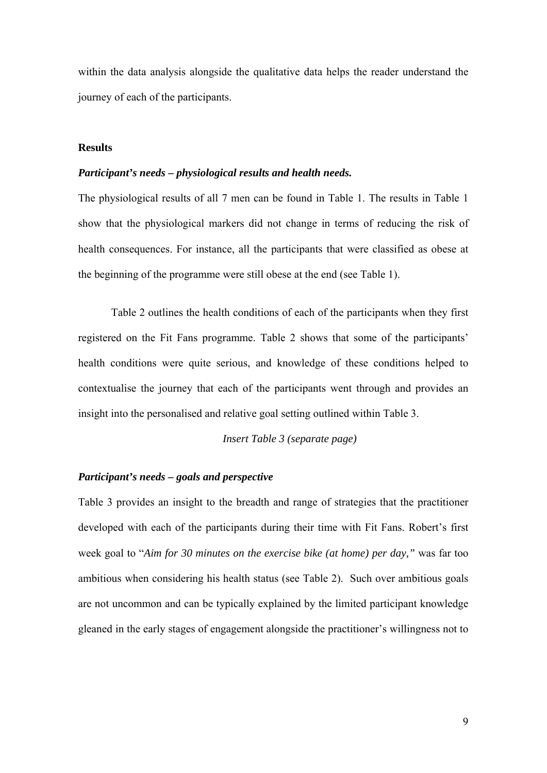within the data analysis alongside the qualitative data helps the reader understand the journey of each of the participants.

# **Results**

## *Participant's needs – physiological results and health needs.*

The physiological results of all 7 men can be found in Table 1. The results in Table 1 show that the physiological markers did not change in terms of reducing the risk of health consequences. For instance, all the participants that were classified as obese at the beginning of the programme were still obese at the end (see Table 1).

Table 2 outlines the health conditions of each of the participants when they first registered on the Fit Fans programme. Table 2 shows that some of the participants' health conditions were quite serious, and knowledge of these conditions helped to contextualise the journey that each of the participants went through and provides an insight into the personalised and relative goal setting outlined within Table 3.

*Insert Table 3 (separate page)* 

# *Participant's needs – goals and perspective*

Table 3 provides an insight to the breadth and range of strategies that the practitioner developed with each of the participants during their time with Fit Fans. Robert's first week goal to "*Aim for 30 minutes on the exercise bike (at home) per day,"* was far too ambitious when considering his health status (see Table 2). Such over ambitious goals are not uncommon and can be typically explained by the limited participant knowledge gleaned in the early stages of engagement alongside the practitioner's willingness not to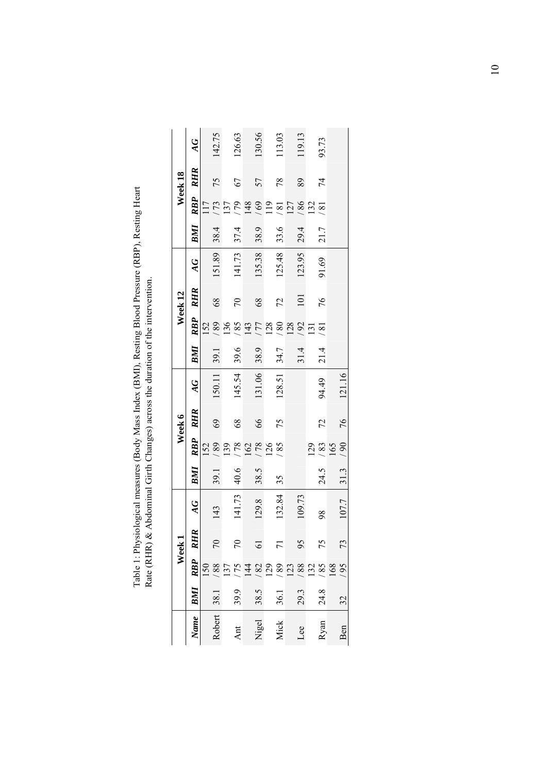| ∩pp) p                                                                                                                                                                                                                                                                                                                                                                                |                               |
|---------------------------------------------------------------------------------------------------------------------------------------------------------------------------------------------------------------------------------------------------------------------------------------------------------------------------------------------------------------------------------------|-------------------------------|
| $\left($ $\left($ $\left($ $\left($ $\left($ $\left($ $\left($ $\left($ $\left($ $\left($ $\left($ $\left($ $\left($ $\left($ $\left($ $\left($ $\left($ $\left($ $\left($ $\left($ $\left($ $\left($ $\left($ $\left($ $\left($ $\left($ $\left( \right) \right) \right) \right) \right) \right) \right) \right) \right) \right)$<br>Indox (DMI) Docting Diood D<br>and times to the | $\overline{1}$                |
| $\left(\frac{1}{2}, \frac{1}{2}, \frac{1}{2}\right)$                                                                                                                                                                                                                                                                                                                                  |                               |
| in and momentum for the line                                                                                                                                                                                                                                                                                                                                                          | al Cirth Char                 |
| laurea meaning                                                                                                                                                                                                                                                                                                                                                                        | $\sim$ (DUD) $\ell_1$ Aldomit |
| $1 \cdot \mathrm{D}$<br>ے۔<br>F                                                                                                                                                                                                                                                                                                                                                       | $\frac{1}{2}$<br>ſ            |

|             |      |                                | Week <sub>1</sub>      |        |      |                        | Week 6     |        |      |                                  | Week 12       |                 |      |                                    | Week 18    |        |
|-------------|------|--------------------------------|------------------------|--------|------|------------------------|------------|--------|------|----------------------------------|---------------|-----------------|------|------------------------------------|------------|--------|
| <b>Name</b> | BMI  | <b>RBP</b>                     | $\approx$<br><b>RH</b> | AG     | BMI  | <b>RBP</b>             | <b>RHR</b> | AG     | BMI  | <b>RBP</b>                       | <b>RHR</b>    | $\overline{AC}$ | BMI  | <b>RBP</b>                         | <b>RHR</b> | AG     |
| Robert      | 38.1 | 88<br>$\overline{0}$           | $\sqrt{2}$             | 143    | 39.1 | 68 <sub>1</sub><br>152 | 69         | 150.11 | 39.1 | 68 <sub>1</sub><br>152           | 68            | 151.89          | 38.4 | 173<br>117                         | 75         | 142.75 |
| Ant         | 39.9 | 75<br>$\overline{\mathcal{E}}$ | $\mathcal{L}$          | 141.73 | 40.6 | 8L<br>139              | 68         | 145.54 | 39.6 | 136<br>58 <sup>1</sup>           | $\mathcal{L}$ | 141.73          | 37.4 | 62/<br>$\overline{37}$             | 67         | 126.63 |
| Nigel       | 38.5 | $\overline{4}$                 | 61                     | 129.8  | 38.5 | 8L<br>162              | 66         | 131.06 | 38.9 | 177<br>143                       | 68            | 135.38          | 38.9 | 148                                | 57         | 130.56 |
| Mick        | 36.1 | $rac{82}{129}$<br>68           |                        | 132.84 | 35   | 58<br>126              | 75         | 128.51 | 34.7 | 80<br>128                        | 72            | 125.48          | 33.6 | $\frac{69}{119}$<br>$\overline{8}$ | 78         | 113.03 |
| Lee         | 29.3 | 88<br>$\overline{23}$          | 95                     | 109.73 |      |                        |            |        | 31.4 | 128<br>/92                       | 101           | 123.95          | 29.4 | 86 <sup>1</sup><br>127             | 89         | 119.13 |
| Ryan        | 24.8 | 85<br>32                       | 75                     | 98     | 24.5 | 129<br>83              | 72         | 94.49  | 21.4 | $\frac{8}{1}$<br>$\overline{31}$ | 76            | 91.69           | 21.7 | $\overline{32}$<br>$\overline{8}$  | 74         | 93.73  |
| Ben         | 32   | 66<br>891                      | 73                     | 107.7  | 31.3 | 165<br>90              | 76         | 121.16 |      |                                  |               |                 |      |                                    |            |        |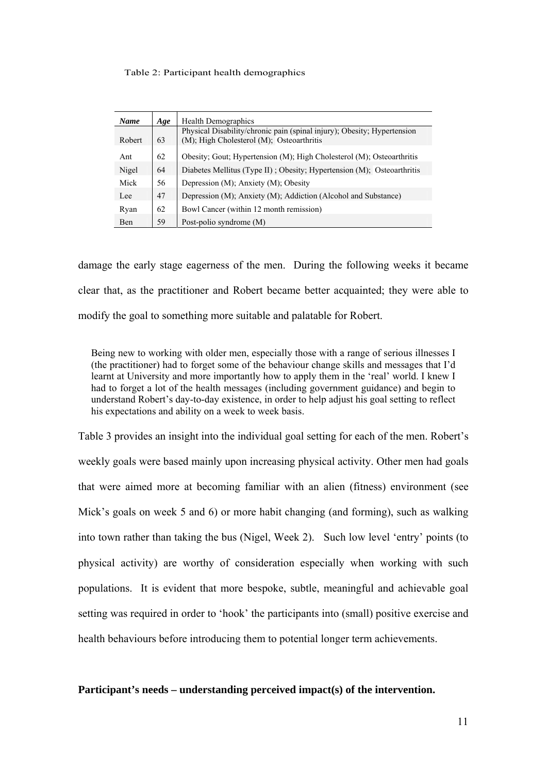#### Table 2: Participant health demographics

| <b>Name</b> | Age | <b>Health Demographics</b>                                              |
|-------------|-----|-------------------------------------------------------------------------|
|             |     | Physical Disability/chronic pain (spinal injury); Obesity; Hypertension |
| Robert      | 63  | (M); High Cholesterol (M); Osteoarthritis                               |
| Ant         | 62  | Obesity; Gout; Hypertension (M); High Cholesterol (M); Osteoarthritis   |
| Nigel       | 64  | Diabetes Mellitus (Type II); Obesity; Hypertension (M); Osteoarthritis  |
| Mick        | 56  | Depression $(M)$ ; Anxiety $(M)$ ; Obesity                              |
| Lee         | 47  | Depression (M); Anxiety (M); Addiction (Alcohol and Substance)          |
| Ryan        | 62  | Bowl Cancer (within 12 month remission)                                 |
| Ben         | 59  | Post-polio syndrome (M)                                                 |

damage the early stage eagerness of the men. During the following weeks it became clear that, as the practitioner and Robert became better acquainted; they were able to modify the goal to something more suitable and palatable for Robert.

Being new to working with older men, especially those with a range of serious illnesses I (the practitioner) had to forget some of the behaviour change skills and messages that I'd learnt at University and more importantly how to apply them in the 'real' world. I knew I had to forget a lot of the health messages (including government guidance) and begin to understand Robert's day-to-day existence, in order to help adjust his goal setting to reflect his expectations and ability on a week to week basis.

Table 3 provides an insight into the individual goal setting for each of the men. Robert's weekly goals were based mainly upon increasing physical activity. Other men had goals that were aimed more at becoming familiar with an alien (fitness) environment (see Mick's goals on week 5 and 6) or more habit changing (and forming), such as walking into town rather than taking the bus (Nigel, Week 2). Such low level 'entry' points (to physical activity) are worthy of consideration especially when working with such populations. It is evident that more bespoke, subtle, meaningful and achievable goal setting was required in order to 'hook' the participants into (small) positive exercise and health behaviours before introducing them to potential longer term achievements.

## **Participant's needs – understanding perceived impact(s) of the intervention.**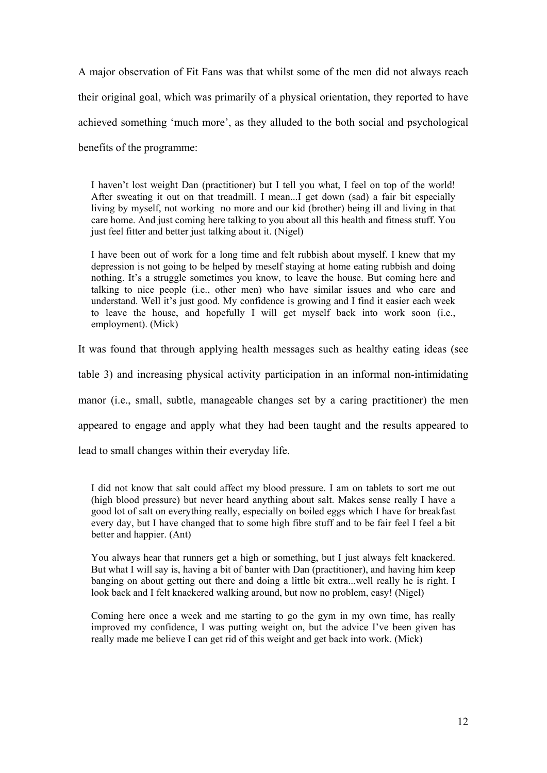A major observation of Fit Fans was that whilst some of the men did not always reach their original goal, which was primarily of a physical orientation, they reported to have achieved something 'much more', as they alluded to the both social and psychological benefits of the programme:

I haven't lost weight Dan (practitioner) but I tell you what, I feel on top of the world! After sweating it out on that treadmill. I mean...I get down (sad) a fair bit especially living by myself, not working no more and our kid (brother) being ill and living in that care home. And just coming here talking to you about all this health and fitness stuff. You just feel fitter and better just talking about it. (Nigel)

I have been out of work for a long time and felt rubbish about myself. I knew that my depression is not going to be helped by meself staying at home eating rubbish and doing nothing. It's a struggle sometimes you know, to leave the house. But coming here and talking to nice people (i.e., other men) who have similar issues and who care and understand. Well it's just good. My confidence is growing and I find it easier each week to leave the house, and hopefully I will get myself back into work soon (i.e., employment). (Mick)

It was found that through applying health messages such as healthy eating ideas (see

table 3) and increasing physical activity participation in an informal non-intimidating

manor (i.e., small, subtle, manageable changes set by a caring practitioner) the men

appeared to engage and apply what they had been taught and the results appeared to

lead to small changes within their everyday life.

I did not know that salt could affect my blood pressure. I am on tablets to sort me out (high blood pressure) but never heard anything about salt. Makes sense really I have a good lot of salt on everything really, especially on boiled eggs which I have for breakfast every day, but I have changed that to some high fibre stuff and to be fair feel I feel a bit better and happier. (Ant)

You always hear that runners get a high or something, but I just always felt knackered. But what I will say is, having a bit of banter with Dan (practitioner), and having him keep banging on about getting out there and doing a little bit extra...well really he is right. I look back and I felt knackered walking around, but now no problem, easy! (Nigel)

Coming here once a week and me starting to go the gym in my own time, has really improved my confidence, I was putting weight on, but the advice I've been given has really made me believe I can get rid of this weight and get back into work. (Mick)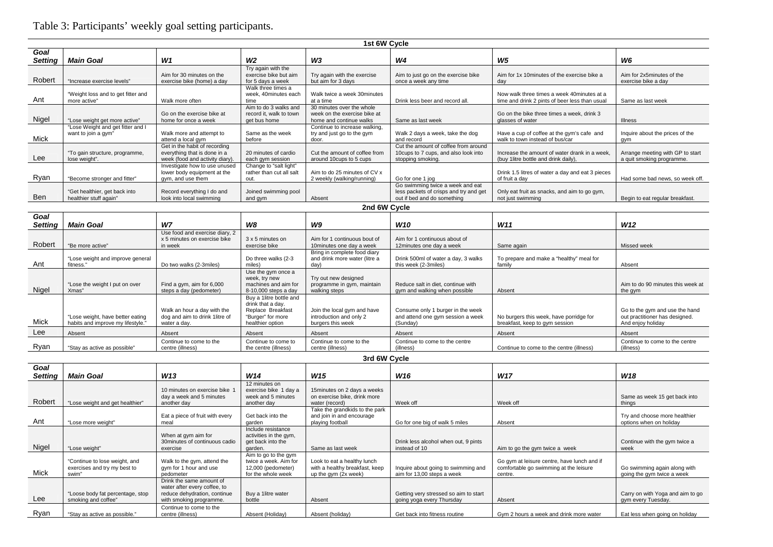# Table 3: Participants' weekly goal setting participants.

|                                            |                                                          |                                                                                                  |                                                                  | 1st 6W Cycle                                                                         |                                                                                                           |                                                                                              |                                                               |  |
|--------------------------------------------|----------------------------------------------------------|--------------------------------------------------------------------------------------------------|------------------------------------------------------------------|--------------------------------------------------------------------------------------|-----------------------------------------------------------------------------------------------------------|----------------------------------------------------------------------------------------------|---------------------------------------------------------------|--|
| Goal                                       |                                                          |                                                                                                  |                                                                  | W <sub>3</sub>                                                                       |                                                                                                           |                                                                                              |                                                               |  |
| <b>Setting</b>                             | <b>Main Goal</b>                                         | W <sub>1</sub>                                                                                   | W <sub>2</sub>                                                   |                                                                                      | W <sub>4</sub>                                                                                            | W5                                                                                           | W6                                                            |  |
| Robert                                     | "Increase exercise levels"                               | Aim for 30 minutes on the<br>exercise bike (home) a day                                          | Try again with the<br>exercise bike but aim<br>for 5 days a week | Try again with the exercise<br>but aim for 3 days                                    | Aim to just go on the exercise bike<br>once a week any time                                               | Aim for 1x 10 minutes of the exercise bike a<br>dav                                          | Aim for 2x5minutes of the<br>exercise bike a day              |  |
| Ant                                        | "Weight loss and to get fitter and<br>more active"       | Walk more often                                                                                  | Walk three times a<br>week, 40minutes each<br>time               | Walk twice a week 30minutes<br>at a time                                             | Drink less beer and record all.                                                                           | Now walk three times a week 40minutes at a<br>time and drink 2 pints of beer less than usual | Same as last week                                             |  |
| Nigel                                      | "Lose weight get more active"                            | Go on the exercise bike at<br>home for once a week                                               | Aim to do 3 walks and<br>record it. walk to town<br>get bus home | 30 minutes over the whole<br>week on the exercise bike at<br>home and continue walks | Same as last week                                                                                         | Go on the bike three times a week, drink 3<br>glasses of water                               | Illness                                                       |  |
| Mick                                       | "Lose Weight and get fitter and I<br>want to join a gym" | Walk more and attempt to<br>attend a local gym                                                   | Same as the week<br>before                                       | Continue to increase walking.<br>try and just go to the gym<br>door.                 | Walk 2 days a week, take the dog<br>and record                                                            | Have a cup of coffee at the gym's cafe and<br>walk to town instead of bus/car                | Inquire about the prices of the<br>qym                        |  |
| Lee                                        | "To gain structure, programme,<br>lose weight".          | Get in the habit of recording<br>everything that is done in a<br>week (food and activity diary). | 20 minutes of cardio<br>each gym session                         | Cut the amount of coffee from<br>around 10cups to 5 cups                             | Cut the amount of coffee from around<br>10cups to 7 cups, and also look into<br>stopping smoking.         | Increase the amount of water drank in a week.<br>(buy 1litre bottle and drink daily),        | Arrange meeting with GP to start<br>a quit smoking programme. |  |
| Ryan                                       | "Become stronger and fitter"                             | Investigate how to use unused<br>lower body equipment at the<br>gym, and use them                | Change to "salt light"<br>rather than cut all salt<br>out.       | Aim to do 25 minutes of CV x<br>2 weekly (walking/running)                           | Go for one 1 iog                                                                                          | Drink 1.5 litres of water a day and eat 3 pieces<br>of fruit a dav                           | Had some bad news, so week off.                               |  |
| Ben                                        | "Get healthier, get back into<br>healthier stuff again"  | Record everything I do and<br>look into local swimming                                           | Joined swimming pool<br>and gym                                  | Absent                                                                               | Go swimming twice a week and eat<br>less packets of crisps and try and get<br>out if bed and do something | Only eat fruit as snacks, and aim to go gym,<br>not just swimming                            | Begin to eat regular breakfast.                               |  |
|                                            | 2nd 6W Cycle                                             |                                                                                                  |                                                                  |                                                                                      |                                                                                                           |                                                                                              |                                                               |  |
| Goal<br><b>Setting</b>                     | <b>Main Goal</b>                                         | W7                                                                                               | W8                                                               | W9                                                                                   | W <sub>10</sub>                                                                                           | W <sub>11</sub>                                                                              | W <sub>12</sub>                                               |  |
|                                            |                                                          | Use food and exercise diary, 2                                                                   |                                                                  |                                                                                      |                                                                                                           |                                                                                              |                                                               |  |
| Robert                                     | "Be more active"                                         | x 5 minutes on exercise bike<br>in week                                                          | 3 x 5 minutes on<br>exercise bike                                | Aim for 1 continuous bout of<br>10minutes one day a week                             | Aim for 1 continuous about of<br>12minutes one day a week                                                 | Same again                                                                                   | Missed week                                                   |  |
| Ant                                        | "Lose weight and improve general<br>fitness.'            | Do two walks (2-3miles)                                                                          | Do three walks (2-3<br>miles)                                    | Bring in complete food diary<br>and drink more water (litre a<br>day)                | Drink 500ml of water a day, 3 walks<br>this week (2-3miles)                                               | To prepare and make a "healthy" meal for<br>family                                           | Absent                                                        |  |
| $\mathbf{A}$ $\mathbf{B}$ and $\mathbf{B}$ | "Lose the weight I put on over                           | Find a gym, aim for 6,000                                                                        | Use the gym once a<br>week, try new<br>machines and aim for      | Try out new designed<br>programme in gym, maintain                                   | Reduce salt in diet, continue with                                                                        |                                                                                              | Aim to do 90 minutes this week at                             |  |

|       | "Lose the weight I put on over    | Find a gym, aim for $6,000$    | machines and aim for    | programme in gym, maintain  | Reduce salt in diet, continue with |                                          | Aim to do 90 minutes this week at |
|-------|-----------------------------------|--------------------------------|-------------------------|-----------------------------|------------------------------------|------------------------------------------|-----------------------------------|
| Nigel | Xmas"                             | steps a day (pedometer)        | $8-10,000$ steps a day  | walking steps               | gym and walking when possible      | Absent                                   | the avm                           |
|       |                                   |                                | Buy a 1litre bottle and |                             |                                    |                                          |                                   |
|       |                                   |                                | drink that a dav.       |                             |                                    |                                          |                                   |
|       |                                   | Walk an hour a day with the    | Replace Breakfast       | Join the local gym and have | Consume only 1 burger in the week  |                                          | Go to the gym and use the hand    |
|       | "Lose weight, have better eating  | dog and aim to drink 1litre of | "Burger" for more       | introduction and only 2     | and attend one gym session a week  | No burgers this week, have porridge for  | out practitioner has designed.    |
| Mick  | habits and improve my lifestyle.' | water a dav.                   | healthier option        | burgers this week           | (Sunday)                           | breakfast, keep to gym session           | And enjoy holiday                 |
| Lee   |                                   |                                |                         |                             |                                    |                                          |                                   |
|       | Absent                            | Absent                         | Absent                  | Absent                      | Absent                             | Absent                                   | Absent                            |
|       |                                   | Continue to come to the        | Continue to come to     | Continue to come to the     | Continue to come to the centre     |                                          | Continue to come to the centre    |
| Rvan  | "Stay as active as possible"      | centre (illness)               | the centre (illness)    | centre (illness)            | (illness)                          | Continue to come to the centre (illness) | (illness)                         |

**3rd 6W Cycle** 

| Goal    |                                                                        |                                                                                                                     |                                                                                           |                                                                                       |                                                                    |                                                                                                  |                                                            |
|---------|------------------------------------------------------------------------|---------------------------------------------------------------------------------------------------------------------|-------------------------------------------------------------------------------------------|---------------------------------------------------------------------------------------|--------------------------------------------------------------------|--------------------------------------------------------------------------------------------------|------------------------------------------------------------|
| Setting | <b>Main Goal</b>                                                       | W13                                                                                                                 | W14                                                                                       | W15                                                                                   | W16                                                                | W <sub>17</sub>                                                                                  | W18                                                        |
| Robert  | "Lose weight and get healthier"                                        | 10 minutes on exercise bike 1<br>day a week and 5 minutes<br>another day                                            | 12 minutes on<br>exercise bike 1 day a<br>week and 5 minutes<br>another day               | 15 minutes on 2 days a weeks<br>on exercise bike, drink more<br>water (record)        | Week off                                                           | Week off                                                                                         | Same as week 15 get back into<br>things                    |
| Ant     | "Lose more weight"                                                     | Eat a piece of fruit with every<br>meal                                                                             | Get back into the<br>garden                                                               | Take the grandkids to the park<br>and join in and encourage<br>playing football       | Go for one big of walk 5 miles                                     | Absent                                                                                           | Try and choose more healthier<br>options when on holiday   |
| Nigel   | "Lose weight"                                                          | When at gym aim for<br>30 minutes of continuous cadio<br>exercise                                                   | Include resistance<br>activities in the gym,<br>get back into the<br>garden.              | Same as last week                                                                     | Drink less alcohol when out, 9 pints<br>instead of 10              | Aim to go the gym twice a week                                                                   | Continue with the gym twice a<br>week                      |
| Mick    | "Continue to lose weight, and<br>exercises and try my best to<br>swim" | Walk to the gym, attend the<br>gym for 1 hour and use<br>pedometer                                                  | Aim to go to the gym<br>twice a week. Aim for<br>12,000 (pedometer)<br>for the whole week | Look to eat a healthy lunch<br>with a healthy breakfast, keep<br>up the gym (2x week) | Inquire about going to swimming and<br>aim for 13,00 steps a week  | Go gym at leisure centre, have lunch and if<br>comfortable go swimming at the leisure<br>centre. | Go swimming again along with<br>going the gym twice a week |
| Lee     | "Loose body fat percentage, stop<br>smoking and coffee"                | Drink the same amount of<br>water after every coffee, to<br>reduce dehydration, continue<br>with smoking programme. | Buy a 1litre water<br>bottle                                                              | Absent                                                                                | Getting very stressed so aim to start<br>going yoga every Thursday | Absent                                                                                           | Carry on with Yoga and aim to go<br>gym every Tuesday.     |
| Ryan    | "Stay as active as possible."                                          | Continue to come to the<br>centre (illness)                                                                         | Absent (Holiday)                                                                          | Absent (holiday)                                                                      | Get back into fitness routine                                      | Gym 2 hours a week and drink more water                                                          | Eat less when going on holiday                             |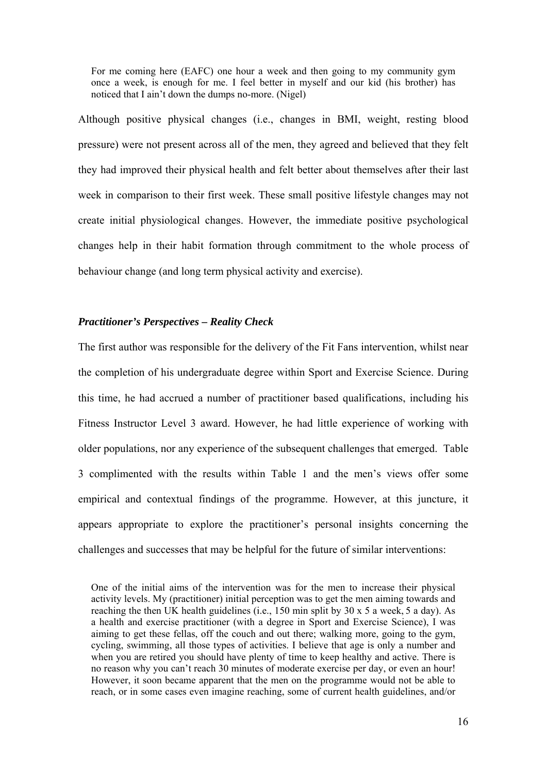For me coming here (EAFC) one hour a week and then going to my community gym once a week, is enough for me. I feel better in myself and our kid (his brother) has noticed that I ain't down the dumps no-more. (Nigel)

Although positive physical changes (i.e., changes in BMI, weight, resting blood pressure) were not present across all of the men, they agreed and believed that they felt they had improved their physical health and felt better about themselves after their last week in comparison to their first week. These small positive lifestyle changes may not create initial physiological changes. However, the immediate positive psychological changes help in their habit formation through commitment to the whole process of behaviour change (and long term physical activity and exercise).

# *Practitioner's Perspectives – Reality Check*

The first author was responsible for the delivery of the Fit Fans intervention, whilst near the completion of his undergraduate degree within Sport and Exercise Science. During this time, he had accrued a number of practitioner based qualifications, including his Fitness Instructor Level 3 award. However, he had little experience of working with older populations, nor any experience of the subsequent challenges that emerged. Table 3 complimented with the results within Table 1 and the men's views offer some empirical and contextual findings of the programme. However, at this juncture, it appears appropriate to explore the practitioner's personal insights concerning the challenges and successes that may be helpful for the future of similar interventions:

One of the initial aims of the intervention was for the men to increase their physical activity levels. My (practitioner) initial perception was to get the men aiming towards and reaching the then UK health guidelines (i.e., 150 min split by  $30 \times 5$  a week,  $5$  a day). As a health and exercise practitioner (with a degree in Sport and Exercise Science), I was aiming to get these fellas, off the couch and out there; walking more, going to the gym, cycling, swimming, all those types of activities. I believe that age is only a number and when you are retired you should have plenty of time to keep healthy and active. There is no reason why you can't reach 30 minutes of moderate exercise per day, or even an hour! However, it soon became apparent that the men on the programme would not be able to reach, or in some cases even imagine reaching, some of current health guidelines, and/or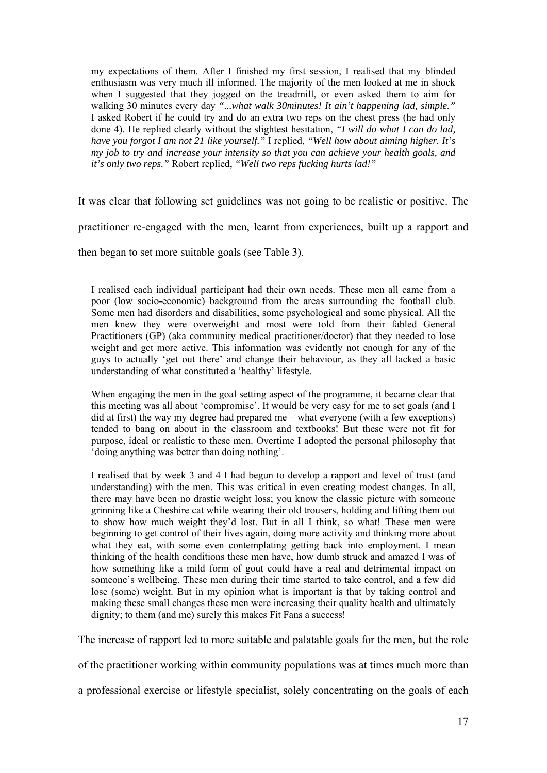my expectations of them. After I finished my first session, I realised that my blinded enthusiasm was very much ill informed. The majority of the men looked at me in shock when I suggested that they jogged on the treadmill, or even asked them to aim for walking 30 minutes every day *"...what walk 30minutes! It ain't happening lad, simple."* I asked Robert if he could try and do an extra two reps on the chest press (he had only done 4). He replied clearly without the slightest hesitation, *"I will do what I can do lad, have you forgot I am not 21 like yourself."* I replied, *"Well how about aiming higher. It's my job to try and increase your intensity so that you can achieve your health goals, and it's only two reps."* Robert replied, *"Well two reps fucking hurts lad!"*

It was clear that following set guidelines was not going to be realistic or positive. The

practitioner re-engaged with the men, learnt from experiences, built up a rapport and

then began to set more suitable goals (see Table 3).

I realised each individual participant had their own needs. These men all came from a poor (low socio-economic) background from the areas surrounding the football club. Some men had disorders and disabilities, some psychological and some physical. All the men knew they were overweight and most were told from their fabled General Practitioners (GP) (aka community medical practitioner/doctor) that they needed to lose weight and get more active. This information was evidently not enough for any of the guys to actually 'get out there' and change their behaviour, as they all lacked a basic understanding of what constituted a 'healthy' lifestyle.

When engaging the men in the goal setting aspect of the programme, it became clear that this meeting was all about 'compromise'. It would be very easy for me to set goals (and I did at first) the way my degree had prepared me – what everyone (with a few exceptions) tended to bang on about in the classroom and textbooks! But these were not fit for purpose, ideal or realistic to these men. Overtime I adopted the personal philosophy that 'doing anything was better than doing nothing'.

I realised that by week 3 and 4 I had begun to develop a rapport and level of trust (and understanding) with the men. This was critical in even creating modest changes. In all, there may have been no drastic weight loss; you know the classic picture with someone grinning like a Cheshire cat while wearing their old trousers, holding and lifting them out to show how much weight they'd lost. But in all I think, so what! These men were beginning to get control of their lives again, doing more activity and thinking more about what they eat, with some even contemplating getting back into employment. I mean thinking of the health conditions these men have, how dumb struck and amazed I was of how something like a mild form of gout could have a real and detrimental impact on someone's wellbeing. These men during their time started to take control, and a few did lose (some) weight. But in my opinion what is important is that by taking control and making these small changes these men were increasing their quality health and ultimately dignity; to them (and me) surely this makes Fit Fans a success!

The increase of rapport led to more suitable and palatable goals for the men, but the role

of the practitioner working within community populations was at times much more than

a professional exercise or lifestyle specialist, solely concentrating on the goals of each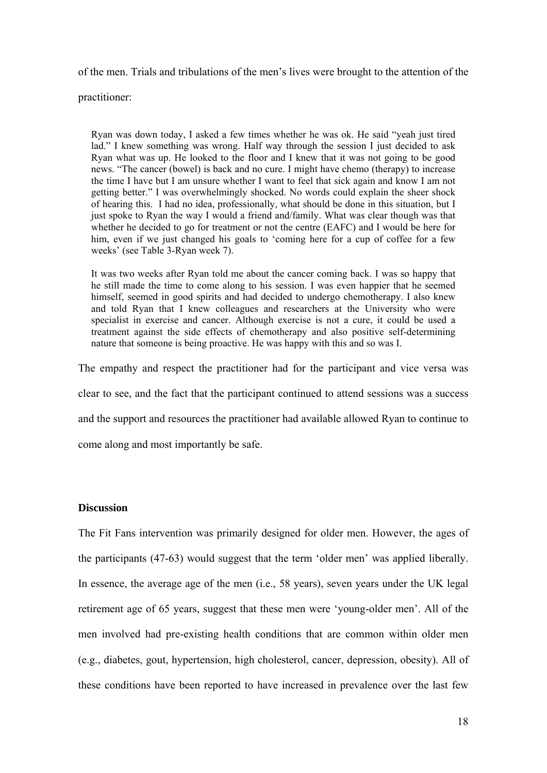of the men. Trials and tribulations of the men's lives were brought to the attention of the

practitioner:

Ryan was down today, I asked a few times whether he was ok. He said "yeah just tired lad." I knew something was wrong. Half way through the session I just decided to ask Ryan what was up. He looked to the floor and I knew that it was not going to be good news. "The cancer (bowel) is back and no cure. I might have chemo (therapy) to increase the time I have but I am unsure whether I want to feel that sick again and know I am not getting better." I was overwhelmingly shocked. No words could explain the sheer shock of hearing this. I had no idea, professionally, what should be done in this situation, but I just spoke to Ryan the way I would a friend and/family. What was clear though was that whether he decided to go for treatment or not the centre (EAFC) and I would be here for him, even if we just changed his goals to 'coming here for a cup of coffee for a few weeks' (see Table 3-Ryan week 7).

It was two weeks after Ryan told me about the cancer coming back. I was so happy that he still made the time to come along to his session. I was even happier that he seemed himself, seemed in good spirits and had decided to undergo chemotherapy. I also knew and told Ryan that I knew colleagues and researchers at the University who were specialist in exercise and cancer. Although exercise is not a cure, it could be used a treatment against the side effects of chemotherapy and also positive self-determining nature that someone is being proactive. He was happy with this and so was I.

The empathy and respect the practitioner had for the participant and vice versa was clear to see, and the fact that the participant continued to attend sessions was a success and the support and resources the practitioner had available allowed Ryan to continue to come along and most importantly be safe.

## **Discussion**

The Fit Fans intervention was primarily designed for older men. However, the ages of the participants (47-63) would suggest that the term 'older men' was applied liberally. In essence, the average age of the men (i.e., 58 years), seven years under the UK legal retirement age of 65 years, suggest that these men were 'young-older men'. All of the men involved had pre-existing health conditions that are common within older men (e.g., diabetes, gout, hypertension, high cholesterol, cancer, depression, obesity). All of these conditions have been reported to have increased in prevalence over the last few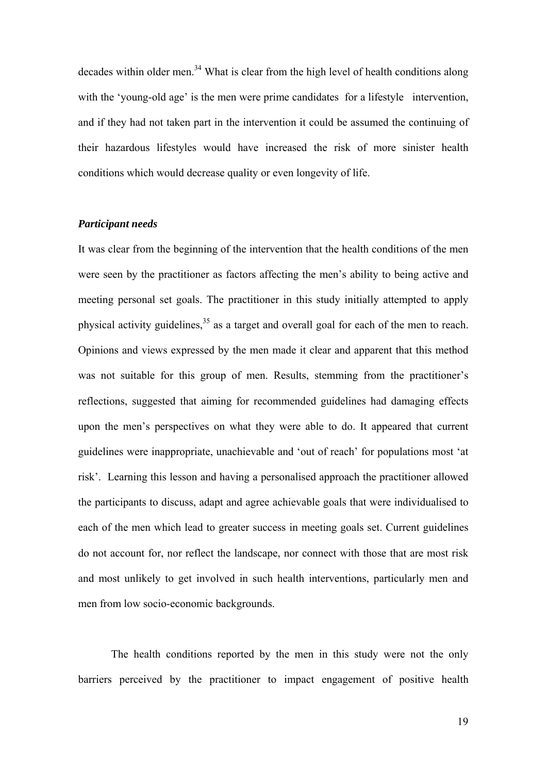decades within older men.<sup>34</sup> What is clear from the high level of health conditions along with the 'young-old age' is the men were prime candidates for a lifestyle intervention, and if they had not taken part in the intervention it could be assumed the continuing of their hazardous lifestyles would have increased the risk of more sinister health conditions which would decrease quality or even longevity of life.

# *Participant needs*

It was clear from the beginning of the intervention that the health conditions of the men were seen by the practitioner as factors affecting the men's ability to being active and meeting personal set goals. The practitioner in this study initially attempted to apply physical activity guidelines,<sup>35</sup> as a target and overall goal for each of the men to reach. Opinions and views expressed by the men made it clear and apparent that this method was not suitable for this group of men. Results, stemming from the practitioner's reflections, suggested that aiming for recommended guidelines had damaging effects upon the men's perspectives on what they were able to do. It appeared that current guidelines were inappropriate, unachievable and 'out of reach' for populations most 'at risk'. Learning this lesson and having a personalised approach the practitioner allowed the participants to discuss, adapt and agree achievable goals that were individualised to each of the men which lead to greater success in meeting goals set. Current guidelines do not account for, nor reflect the landscape, nor connect with those that are most risk and most unlikely to get involved in such health interventions, particularly men and men from low socio-economic backgrounds.

The health conditions reported by the men in this study were not the only barriers perceived by the practitioner to impact engagement of positive health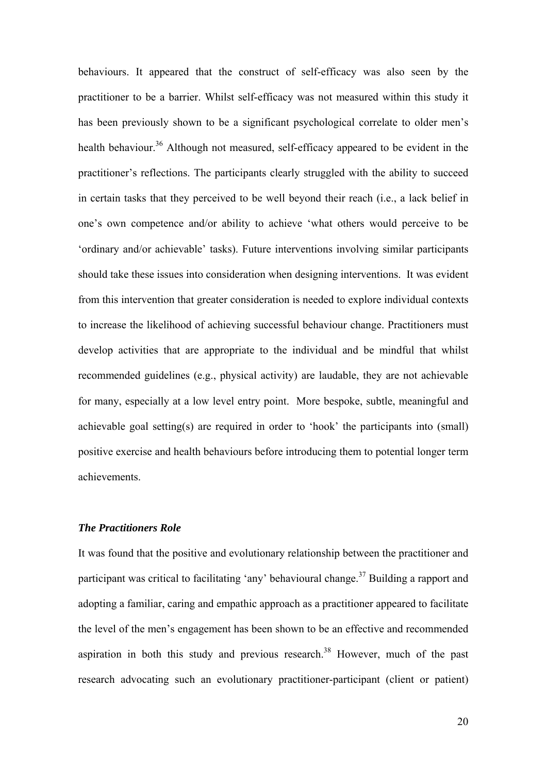behaviours. It appeared that the construct of self-efficacy was also seen by the practitioner to be a barrier. Whilst self-efficacy was not measured within this study it has been previously shown to be a significant psychological correlate to older men's health behaviour.<sup>36</sup> Although not measured, self-efficacy appeared to be evident in the practitioner's reflections. The participants clearly struggled with the ability to succeed in certain tasks that they perceived to be well beyond their reach (i.e., a lack belief in one's own competence and/or ability to achieve 'what others would perceive to be 'ordinary and/or achievable' tasks). Future interventions involving similar participants should take these issues into consideration when designing interventions. It was evident from this intervention that greater consideration is needed to explore individual contexts to increase the likelihood of achieving successful behaviour change. Practitioners must develop activities that are appropriate to the individual and be mindful that whilst recommended guidelines (e.g., physical activity) are laudable, they are not achievable for many, especially at a low level entry point. More bespoke, subtle, meaningful and achievable goal setting(s) are required in order to 'hook' the participants into (small) positive exercise and health behaviours before introducing them to potential longer term achievements.

# *The Practitioners Role*

It was found that the positive and evolutionary relationship between the practitioner and participant was critical to facilitating 'any' behavioural change.<sup>37</sup> Building a rapport and adopting a familiar, caring and empathic approach as a practitioner appeared to facilitate the level of the men's engagement has been shown to be an effective and recommended aspiration in both this study and previous research.<sup>38</sup> However, much of the past research advocating such an evolutionary practitioner-participant (client or patient)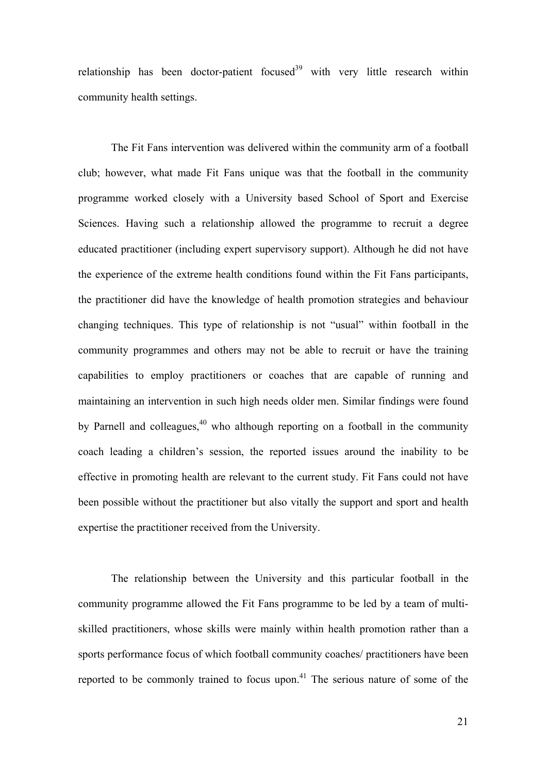relationship has been doctor-patient focused $39$  with very little research within community health settings.

The Fit Fans intervention was delivered within the community arm of a football club; however, what made Fit Fans unique was that the football in the community programme worked closely with a University based School of Sport and Exercise Sciences. Having such a relationship allowed the programme to recruit a degree educated practitioner (including expert supervisory support). Although he did not have the experience of the extreme health conditions found within the Fit Fans participants, the practitioner did have the knowledge of health promotion strategies and behaviour changing techniques. This type of relationship is not "usual" within football in the community programmes and others may not be able to recruit or have the training capabilities to employ practitioners or coaches that are capable of running and maintaining an intervention in such high needs older men. Similar findings were found by Parnell and colleagues, $40$  who although reporting on a football in the community coach leading a children's session, the reported issues around the inability to be effective in promoting health are relevant to the current study. Fit Fans could not have been possible without the practitioner but also vitally the support and sport and health expertise the practitioner received from the University.

The relationship between the University and this particular football in the community programme allowed the Fit Fans programme to be led by a team of multiskilled practitioners, whose skills were mainly within health promotion rather than a sports performance focus of which football community coaches/ practitioners have been reported to be commonly trained to focus upon.<sup>41</sup> The serious nature of some of the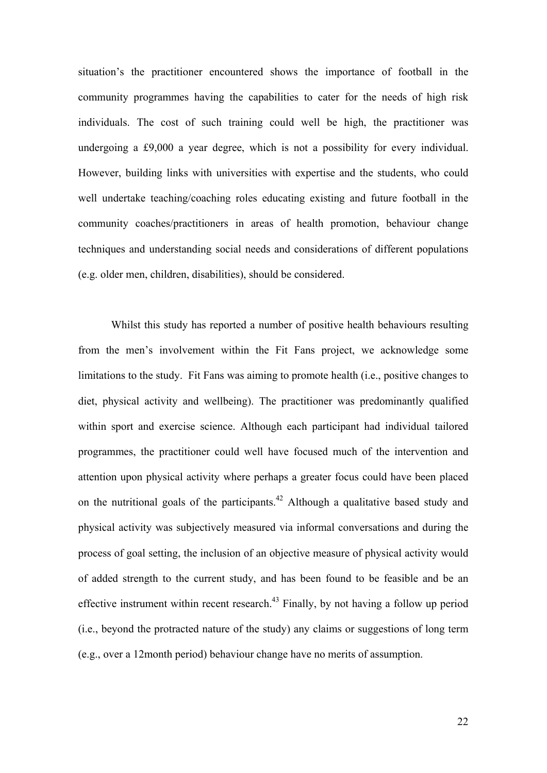situation's the practitioner encountered shows the importance of football in the community programmes having the capabilities to cater for the needs of high risk individuals. The cost of such training could well be high, the practitioner was undergoing a £9,000 a year degree, which is not a possibility for every individual. However, building links with universities with expertise and the students, who could well undertake teaching/coaching roles educating existing and future football in the community coaches/practitioners in areas of health promotion, behaviour change techniques and understanding social needs and considerations of different populations (e.g. older men, children, disabilities), should be considered.

Whilst this study has reported a number of positive health behaviours resulting from the men's involvement within the Fit Fans project, we acknowledge some limitations to the study. Fit Fans was aiming to promote health (i.e., positive changes to diet, physical activity and wellbeing). The practitioner was predominantly qualified within sport and exercise science. Although each participant had individual tailored programmes, the practitioner could well have focused much of the intervention and attention upon physical activity where perhaps a greater focus could have been placed on the nutritional goals of the participants.<sup>42</sup> Although a qualitative based study and physical activity was subjectively measured via informal conversations and during the process of goal setting, the inclusion of an objective measure of physical activity would of added strength to the current study, and has been found to be feasible and be an effective instrument within recent research.<sup>43</sup> Finally, by not having a follow up period (i.e., beyond the protracted nature of the study) any claims or suggestions of long term (e.g., over a 12month period) behaviour change have no merits of assumption.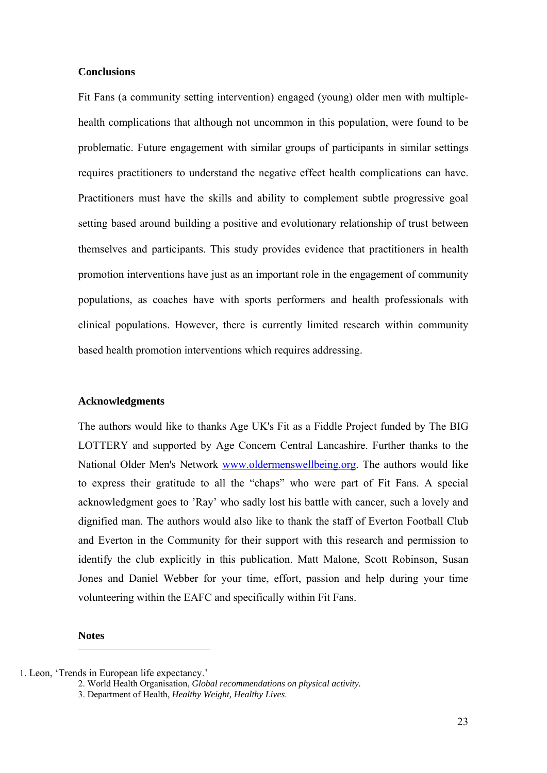# **Conclusions**

Fit Fans (a community setting intervention) engaged (young) older men with multiplehealth complications that although not uncommon in this population, were found to be problematic. Future engagement with similar groups of participants in similar settings requires practitioners to understand the negative effect health complications can have. Practitioners must have the skills and ability to complement subtle progressive goal setting based around building a positive and evolutionary relationship of trust between themselves and participants. This study provides evidence that practitioners in health promotion interventions have just as an important role in the engagement of community populations, as coaches have with sports performers and health professionals with clinical populations. However, there is currently limited research within community based health promotion interventions which requires addressing.

### **Acknowledgments**

The authors would like to thanks Age UK's Fit as a Fiddle Project funded by The BIG LOTTERY and supported by Age Concern Central Lancashire. Further thanks to the National Older Men's Network www.oldermenswellbeing.org. The authors would like to express their gratitude to all the "chaps" who were part of Fit Fans. A special acknowledgment goes to 'Ray' who sadly lost his battle with cancer, such a lovely and dignified man. The authors would also like to thank the staff of Everton Football Club and Everton in the Community for their support with this research and permission to identify the club explicitly in this publication. Matt Malone, Scott Robinson, Susan Jones and Daniel Webber for your time, effort, passion and help during your time volunteering within the EAFC and specifically within Fit Fans.

**Notes** 

<sup>1.</sup> Leon, 'Trends in European life expectancy.'

<sup>2.</sup> World Health Organisation, *Global recommendations on physical activity.* 

<sup>3.</sup> Department of Health, *Healthy Weight, Healthy Lives*.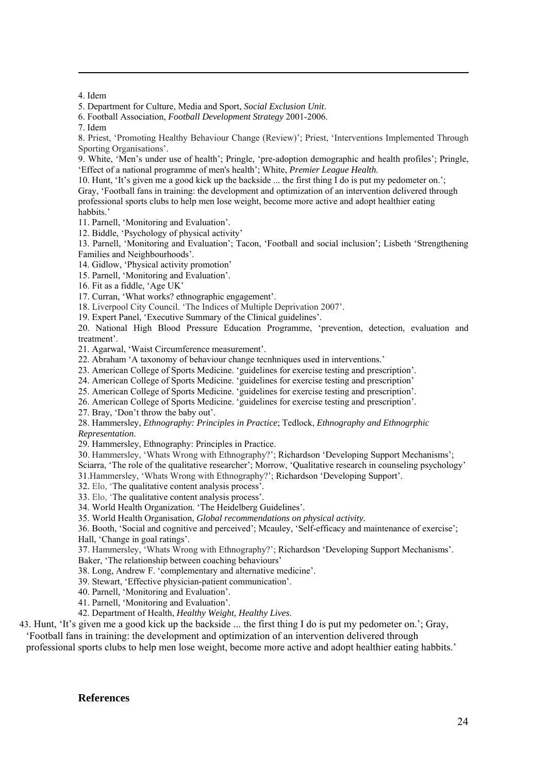4. Idem

1

5. Department for Culture, Media and Sport, *Social Exclusion Unit*.

6. Football Association, *Football Development Strategy* 2001-2006.

7. Idem

8. Priest, 'Promoting Healthy Behaviour Change (Review)'; Priest, 'Interventions Implemented Through Sporting Organisations'.

9. White, 'Men's under use of health'; Pringle, 'pre-adoption demographic and health profiles'; Pringle, 'Effect of a national programme of men's health'; White, *Premier League Health.* 

10. Hunt, 'It's given me a good kick up the backside ... the first thing I do is put my pedometer on.'; Gray, 'Football fans in training: the development and optimization of an intervention delivered through professional sports clubs to help men lose weight, become more active and adopt healthier eating habbits.'

11. Parnell, 'Monitoring and Evaluation'.

12. Biddle, 'Psychology of physical activity'

13. Parnell, 'Monitoring and Evaluation'; Tacon, 'Football and social inclusion'; Lisbeth 'Strengthening Families and Neighbourhoods'.

14. Gidlow, 'Physical activity promotion'

15. Parnell, 'Monitoring and Evaluation'.

16. Fit as a fiddle, 'Age UK'

17. Curran, 'What works? ethnographic engagement'.

18. Liverpool City Council. 'The Indices of Multiple Deprivation 2007'.

19. Expert Panel, 'Executive Summary of the Clinical guidelines'.

20. National High Blood Pressure Education Programme, 'prevention, detection, evaluation and treatment'.

21. Agarwal, 'Waist Circumference measurement'.

22. Abraham 'A taxonomy of behaviour change tecnhniques used in interventions.'

23. American College of Sports Medicine. 'guidelines for exercise testing and prescription'.

24. American College of Sports Medicine. 'guidelines for exercise testing and prescription'

25. American College of Sports Medicine. 'guidelines for exercise testing and prescription'.

26. American College of Sports Medicine. 'guidelines for exercise testing and prescription'.

27. Bray, 'Don't throw the baby out'.

28. Hammersley, *Ethnography: Principles in Practice*; Tedlock, *Ethnography and Ethnogrphic Representation*.

29. Hammersley, Ethnography: Principles in Practice.

30. Hammersley, 'Whats Wrong with Ethnography?'; Richardson 'Developing Support Mechanisms'; Sciarra, 'The role of the qualitative researcher'; Morrow, 'Qualitative research in counseling psychology'

31.Hammersley, 'Whats Wrong with Ethnography?'; Richardson 'Developing Support'.

32. Elo, 'The qualitative content analysis process'.

33. Elo, 'The qualitative content analysis process'.

34. World Health Organization. 'The Heidelberg Guidelines'.

35. World Health Organisation, *Global recommendations on physical activity.*

36. Booth, 'Social and cognitive and perceived'; Mcauley, 'Self-efficacy and maintenance of exercise'; Hall, 'Change in goal ratings'.

37. Hammersley, 'Whats Wrong with Ethnography?'; Richardson 'Developing Support Mechanisms'. Baker, 'The relationship between coaching behaviours'

38. Long, Andrew F. 'complementary and alternative medicine'.

39. Stewart, 'Effective physician-patient communication'.

40. Parnell, 'Monitoring and Evaluation'.

41. Parnell, 'Monitoring and Evaluation'.

42. Department of Health, *Healthy Weight, Healthy Lives*.

43. Hunt, 'It's given me a good kick up the backside ... the first thing I do is put my pedometer on.'; Gray,

'Football fans in training: the development and optimization of an intervention delivered through professional sports clubs to help men lose weight, become more active and adopt healthier eating habbits.'

#### **References**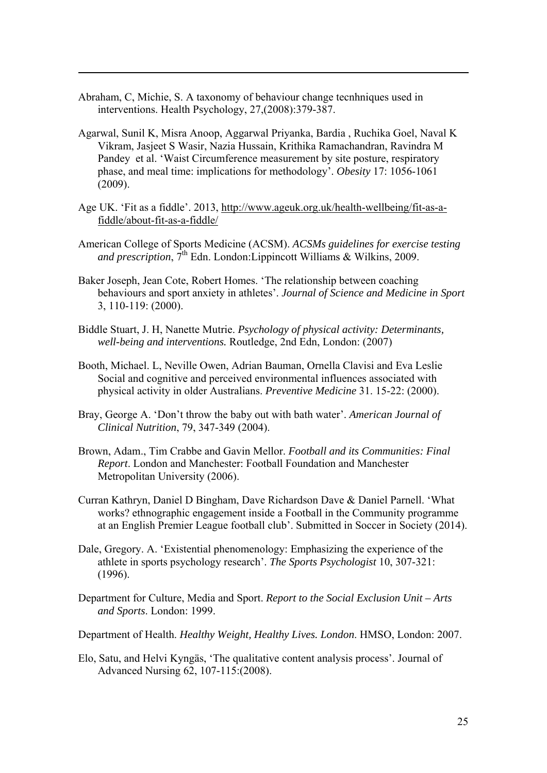Abraham, C, Michie, S. A taxonomy of behaviour change tecnhniques used in interventions. Health Psychology, 27,(2008):379-387.

- Agarwal, Sunil K, Misra Anoop, Aggarwal Priyanka, Bardia , Ruchika Goel, Naval K Vikram, Jasjeet S Wasir, Nazia Hussain, Krithika Ramachandran, Ravindra M Pandey et al. 'Waist Circumference measurement by site posture, respiratory phase, and meal time: implications for methodology'. *Obesity* 17: 1056-1061 (2009).
- Age UK. 'Fit as a fiddle'. 2013, http://www.ageuk.org.uk/health-wellbeing/fit-as-afiddle/about-fit-as-a-fiddle/
- American College of Sports Medicine (ACSM). *ACSMs guidelines for exercise testing and prescription*,  $7<sup>th</sup>$  Edn. London: Lippincott Williams & Wilkins, 2009.
- Baker Joseph, Jean Cote, Robert Homes. 'The relationship between coaching behaviours and sport anxiety in athletes'. *Journal of Science and Medicine in Sport* 3, 110-119: (2000).
- Biddle Stuart, J. H, Nanette Mutrie. *Psychology of physical activity: Determinants, well-being and interventions.* Routledge, 2nd Edn, London: (2007)
- Booth, Michael. L, Neville Owen, Adrian Bauman, Ornella Clavisi and Eva Leslie Social and cognitive and perceived environmental influences associated with physical activity in older Australians. *Preventive Medicine* 31. 15-22: (2000).
- Bray, George A. 'Don't throw the baby out with bath water'. *American Journal of Clinical Nutrition*, 79, 347-349 (2004).
- Brown, Adam., Tim Crabbe and Gavin Mellor. *Football and its Communities: Final Report*. London and Manchester: Football Foundation and Manchester Metropolitan University (2006).
- Curran Kathryn, Daniel D Bingham, Dave Richardson Dave & Daniel Parnell. 'What works? ethnographic engagement inside a Football in the Community programme at an English Premier League football club'. Submitted in Soccer in Society (2014).
- Dale, Gregory. A. 'Existential phenomenology: Emphasizing the experience of the athlete in sports psychology research'. *The Sports Psychologist* 10, 307-321: (1996).
- Department for Culture, Media and Sport. *Report to the Social Exclusion Unit Arts and Sports*. London: 1999.
- Department of Health. *Healthy Weight, Healthy Lives. London*. HMSO, London: 2007.
- Elo, Satu, and Helvi Kyngäs, 'The qualitative content analysis process'. Journal of Advanced Nursing 62, 107-115:(2008).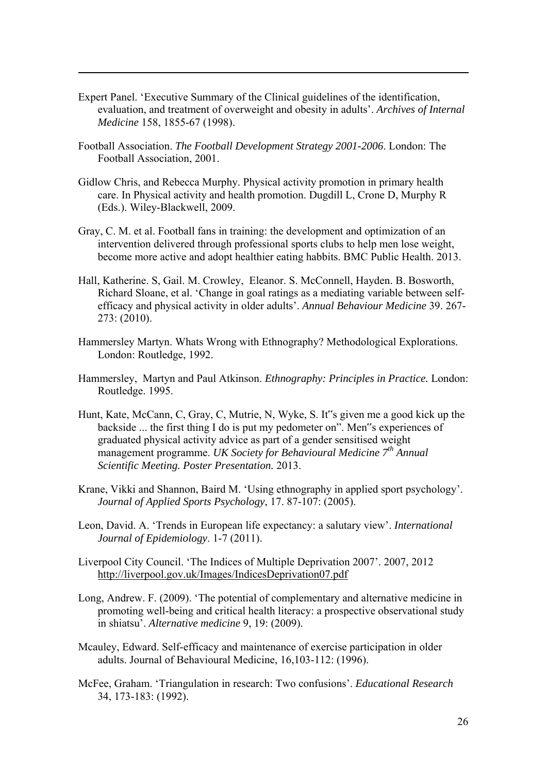- Expert Panel. 'Executive Summary of the Clinical guidelines of the identification, evaluation, and treatment of overweight and obesity in adults'. *Archives of Internal Medicine* 158, 1855-67 (1998).
- Football Association. *The Football Development Strategy 2001-2006*. London: The Football Association, 2001.

- Gidlow Chris, and Rebecca Murphy. Physical activity promotion in primary health care. In Physical activity and health promotion. Dugdill L, Crone D, Murphy R (Eds.). Wiley-Blackwell, 2009.
- Gray, C. M. et al. Football fans in training: the development and optimization of an intervention delivered through professional sports clubs to help men lose weight, become more active and adopt healthier eating habbits. BMC Public Health. 2013.
- Hall, Katherine. S, Gail. M. Crowley, Eleanor. S. McConnell, Hayden. B. Bosworth, Richard Sloane, et al. 'Change in goal ratings as a mediating variable between selfefficacy and physical activity in older adults'. *Annual Behaviour Medicine* 39. 267- 273: (2010).
- Hammersley Martyn. Whats Wrong with Ethnography? Methodological Explorations. London: Routledge, 1992.
- Hammersley, Martyn and Paul Atkinson. *Ethnography: Principles in Practice.* London: Routledge. 1995.
- Hunt, Kate, McCann, C, Gray, C, Mutrie, N, Wyke, S. It"s given me a good kick up the backside ... the first thing I do is put my pedometer on". Men"s experiences of graduated physical activity advice as part of a gender sensitised weight management programme. *UK Society for Behavioural Medicine 7th Annual Scientific Meeting. Poster Presentation.* 2013.
- Krane, Vikki and Shannon, Baird M. 'Using ethnography in applied sport psychology'. *Journal of Applied Sports Psychology*, 17. 87-107: (2005).
- Leon, David. A. 'Trends in European life expectancy: a salutary view'. *International Journal of Epidemiology*. 1-7 (2011).
- Liverpool City Council. 'The Indices of Multiple Deprivation 2007'. 2007, 2012 http://liverpool.gov.uk/Images/IndicesDeprivation07.pdf
- Long, Andrew. F. (2009). 'The potential of complementary and alternative medicine in promoting well-being and critical health literacy: a prospective observational study in shiatsu'. *Alternative medicine* 9, 19: (2009).
- Mcauley, Edward. Self-efficacy and maintenance of exercise participation in older adults. Journal of Behavioural Medicine, 16,103-112: (1996).
- McFee, Graham. 'Triangulation in research: Two confusions'. *Educational Research* 34, 173-183: (1992).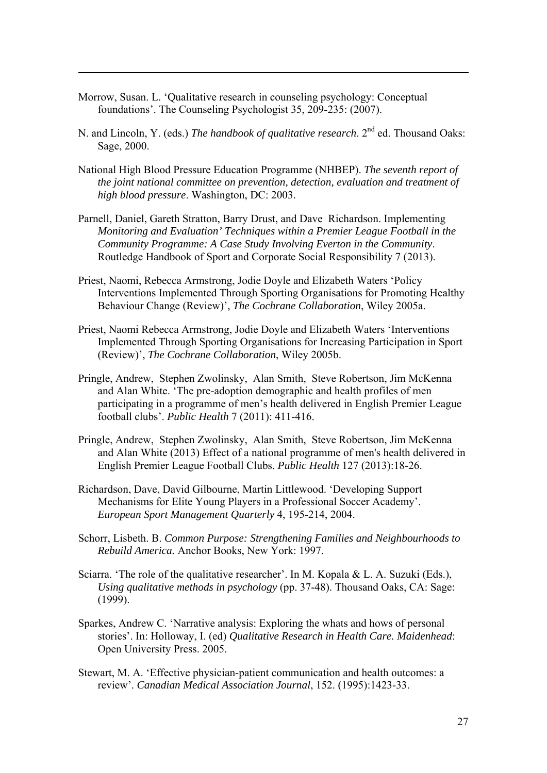Morrow, Susan. L. 'Qualitative research in counseling psychology: Conceptual foundations'. The Counseling Psychologist 35, 209-235: (2007).

- N. and Lincoln, Y. (eds.) *The handbook of qualitative research*. 2nd ed. Thousand Oaks: Sage, 2000.
- National High Blood Pressure Education Programme (NHBEP). *The seventh report of the joint national committee on prevention, detection, evaluation and treatment of high blood pressure*. Washington, DC: 2003.
- Parnell, Daniel, Gareth Stratton, Barry Drust, and Dave Richardson. Implementing *Monitoring and Evaluation' Techniques within a Premier League Football in the Community Programme: A Case Study Involving Everton in the Community*. Routledge Handbook of Sport and Corporate Social Responsibility 7 (2013).
- Priest, Naomi, Rebecca Armstrong, Jodie Doyle and Elizabeth Waters 'Policy Interventions Implemented Through Sporting Organisations for Promoting Healthy Behaviour Change (Review)', *The Cochrane Collaboration*, Wiley 2005a.
- Priest, Naomi Rebecca Armstrong, Jodie Doyle and Elizabeth Waters 'Interventions Implemented Through Sporting Organisations for Increasing Participation in Sport (Review)', *The Cochrane Collaboration*, Wiley 2005b.
- Pringle, Andrew, Stephen Zwolinsky, Alan Smith, Steve Robertson, Jim McKenna and Alan White. 'The pre-adoption demographic and health profiles of men participating in a programme of men's health delivered in English Premier League football clubs'. *Public Health* 7 (2011): 411-416.
- Pringle, Andrew, Stephen Zwolinsky, Alan Smith, Steve Robertson, Jim McKenna and Alan White (2013) Effect of a national programme of men's health delivered in English Premier League Football Clubs. *Public Health* 127 (2013):18-26.
- Richardson, Dave, David Gilbourne, Martin Littlewood. 'Developing Support Mechanisms for Elite Young Players in a Professional Soccer Academy'. *European Sport Management Quarterly* 4, 195-214, 2004.
- Schorr, Lisbeth. B. *Common Purpose: Strengthening Families and Neighbourhoods to Rebuild America.* Anchor Books, New York: 1997.
- Sciarra. 'The role of the qualitative researcher'. In M. Kopala & L. A. Suzuki (Eds.), *Using qualitative methods in psychology* (pp. 37-48). Thousand Oaks, CA: Sage: (1999).
- Sparkes, Andrew C. 'Narrative analysis: Exploring the whats and hows of personal stories'. In: Holloway, I. (ed) *Qualitative Research in Health Care. Maidenhead*: Open University Press. 2005.
- Stewart, M. A. 'Effective physician-patient communication and health outcomes: a review'. *Canadian Medical Association Journal*, 152. (1995):1423-33.